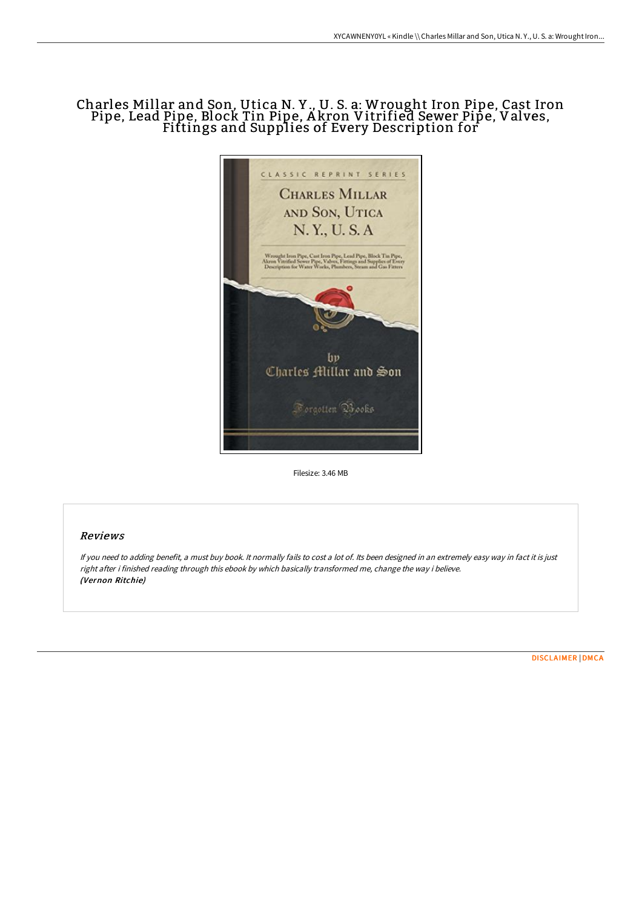# Charles Millar and Son, Utica N. Y ., U. S. a: Wrought Iron Pipe, Cast Iron Pipe, Lead Pipe, Block Tin Pipe, A kron Vitrified Sewer Pipe, Valves, Fittings and Supplies of Every Description for



Filesize: 3.46 MB

## Reviews

If you need to adding benefit, <sup>a</sup> must buy book. It normally fails to cost <sup>a</sup> lot of. Its been designed in an extremely easy way in fact it is just right after i finished reading through this ebook by which basically transformed me, change the way i believe. (Vernon Ritchie)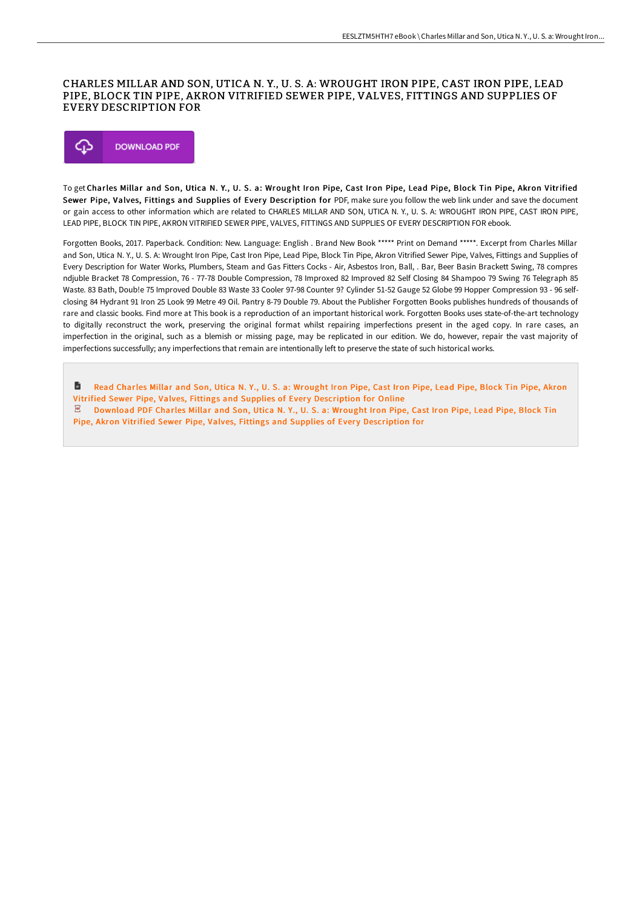### CHARLES MILLAR AND SON, UTICA N. Y., U. S. A: WROUGHT IRON PIPE, CAST IRON PIPE, LEAD PIPE, BLOCK TIN PIPE, AKRON VITRIFIED SEWER PIPE, VALVES, FITTINGS AND SUPPLIES OF EVERY DESCRIPTION FOR



To get Charles Millar and Son, Utica N. Y., U. S. a: Wrought Iron Pipe, Cast Iron Pipe, Lead Pipe, Block Tin Pipe, Akron Vitrified Sewer Pipe, Valves, Fittings and Supplies of Every Description for PDF, make sure you follow the web link under and save the document or gain access to other information which are related to CHARLES MILLAR AND SON, UTICA N. Y., U. S. A: WROUGHT IRON PIPE, CAST IRON PIPE, LEAD PIPE, BLOCK TIN PIPE, AKRON VITRIFIED SEWER PIPE, VALVES, FITTINGS AND SUPPLIES OF EVERY DESCRIPTION FOR ebook.

Forgotten Books, 2017. Paperback. Condition: New. Language: English . Brand New Book \*\*\*\*\* Print on Demand \*\*\*\*\*. Excerpt from Charles Millar and Son, Utica N. Y., U. S. A: Wrought Iron Pipe, Cast Iron Pipe, Lead Pipe, Block Tin Pipe, Akron Vitrified Sewer Pipe, Valves, Fittings and Supplies of Every Description for Water Works, Plumbers, Steam and Gas Fitters Cocks - Air, Asbestos Iron, Ball, . Bar, Beer Basin Brackett Swing, 78 compres ndjuble Bracket 78 Compression, 76 - 77-78 Double Compression, 78 Improxed 82 Improved 82 Self Closing 84 Shampoo 79 Swing 76 Telegraph 85 Waste. 83 Bath, Doub!e 75 Improved Double 83 Waste 33 Cooler 97-98 Counter 9? Cylinder 51-52 Gauge 52 Globe 99 Hopper Compression 93 - 96 selfclosing 84 Hydrant 91 Iron 25 Look 99 Metre 49 Oil. Pantry 8-79 Double 79. About the Publisher Forgotten Books publishes hundreds of thousands of rare and classic books. Find more at This book is a reproduction of an important historical work. Forgotten Books uses state-of-the-art technology to digitally reconstruct the work, preserving the original format whilst repairing imperfections present in the aged copy. In rare cases, an imperfection in the original, such as a blemish or missing page, may be replicated in our edition. We do, however, repair the vast majority of imperfections successfully; any imperfections that remain are intentionally left to preserve the state of such historical works.

D Read Charles Millar and Son, Utica N. Y., U. S. a: Wrought Iron Pipe, Cast Iron Pipe, Lead Pipe, Block Tin Pipe, Akron Vitrified Sewer Pipe, Valves, Fittings and Supplies of Every [Description](http://digilib.live/charles-millar-and-son-utica-n-y-u-s-a-wrought-i.html) for Online  $\mathbb E$  Download PDF Charles Millar and Son, Utica N. Y., U. S. a: Wrought Iron Pipe, Cast Iron Pipe, Lead Pipe, Block Tin

Pipe, Akron Vitrified Sewer Pipe, Valves, Fittings and Supplies of Every [Description](http://digilib.live/charles-millar-and-son-utica-n-y-u-s-a-wrought-i.html) for